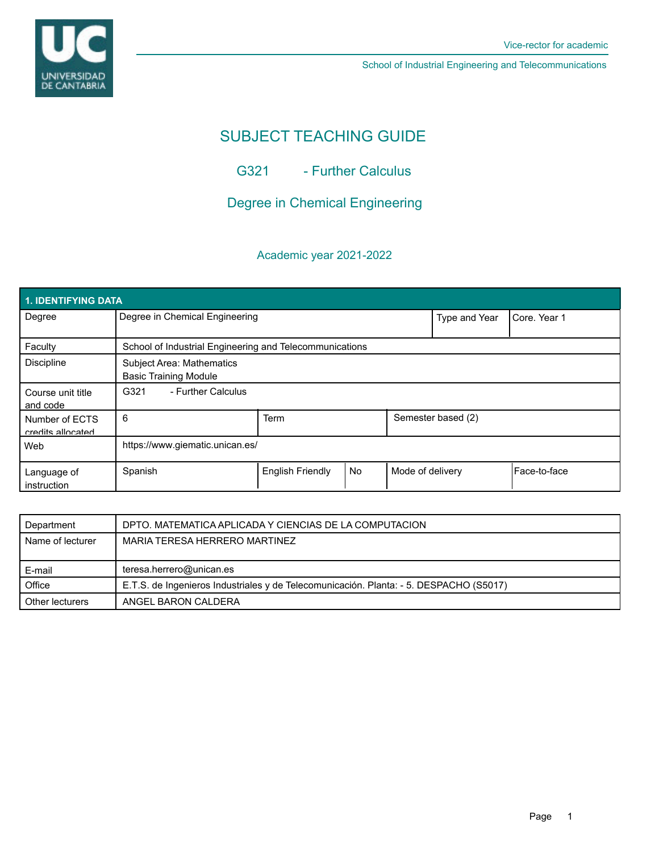

# SUBJECT TEACHING GUIDE

G321 - Further Calculus

Degree in Chemical Engineering

# Academic year 2021-2022

| 1. IDENTIFYING DATA                 |                                                                  |                         |           |                    |               |               |  |  |  |
|-------------------------------------|------------------------------------------------------------------|-------------------------|-----------|--------------------|---------------|---------------|--|--|--|
| Degree                              | Degree in Chemical Engineering                                   |                         |           |                    | Type and Year | Core, Year 1  |  |  |  |
| Faculty                             | School of Industrial Engineering and Telecommunications          |                         |           |                    |               |               |  |  |  |
| <b>Discipline</b>                   | <b>Subject Area: Mathematics</b><br><b>Basic Training Module</b> |                         |           |                    |               |               |  |  |  |
| Course unit title<br>and code       | G321<br>- Further Calculus                                       |                         |           |                    |               |               |  |  |  |
| Number of ECTS<br>credits allocated | 6                                                                | <b>Term</b>             |           | Semester based (2) |               |               |  |  |  |
| Web                                 | https://www.giematic.unican.es/                                  |                         |           |                    |               |               |  |  |  |
| Language of<br>instruction          | Spanish                                                          | <b>English Friendly</b> | <b>No</b> | Mode of delivery   |               | lFace-to-face |  |  |  |

| Department       | DPTO. MATEMATICA APLICADA Y CIENCIAS DE LA COMPUTACION                                 |  |  |  |
|------------------|----------------------------------------------------------------------------------------|--|--|--|
| Name of lecturer | MARIA TERESA HERRERO MARTINEZ                                                          |  |  |  |
|                  |                                                                                        |  |  |  |
|                  |                                                                                        |  |  |  |
| E-mail           | teresa.herrero@unican.es                                                               |  |  |  |
| Office           | E.T.S. de Ingenieros Industriales y de Telecomunicación. Planta: - 5. DESPACHO (S5017) |  |  |  |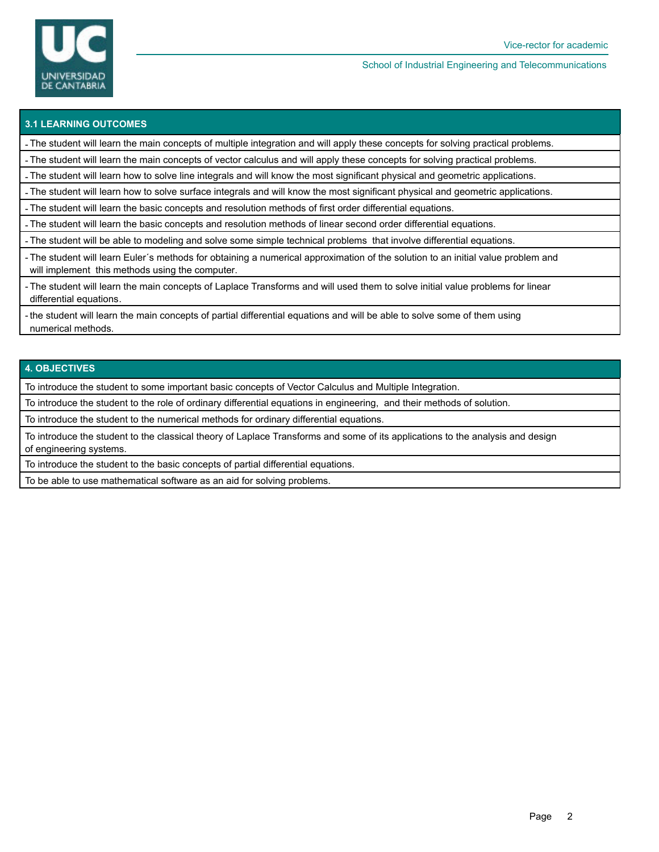

## **3.1 LEARNING OUTCOMES**

- The student will learn the main concepts of multiple integration and will apply these concepts for solving practical problems.

- The student will learn the main concepts of vector calculus and will apply these concepts for solving practical problems.

- The student will learn how to solve line integrals and will know the most significant physical and geometric applications.

- The student will learn how to solve surface integrals and will know the most significant physical and geometric applications.

- The student will learn the basic concepts and resolution methods of first order differential equations.

- The student will learn the basic concepts and resolution methods of linear second order differential equations.

- The student will be able to modeling and solve some simple technical problems that involve differential equations.

- The student will learn Euler´s methods for obtaining a numerical approximation of the solution to an initial value problem and will implement this methods using the computer.

- The student will learn the main concepts of Laplace Transforms and will used them to solve initial value problems for linear differential equations.

- the student will learn the main concepts of partial differential equations and will be able to solve some of them using numerical methods.

### **4. OBJECTIVES**

To introduce the student to some important basic concepts of Vector Calculus and Multiple Integration.

To introduce the student to the role of ordinary differential equations in engineering, and their methods of solution.

To introduce the student to the numerical methods for ordinary differential equations.

To introduce the student to the classical theory of Laplace Transforms and some of its applications to the analysis and design of engineering systems.

To introduce the student to the basic concepts of partial differential equations.

To be able to use mathematical software as an aid for solving problems.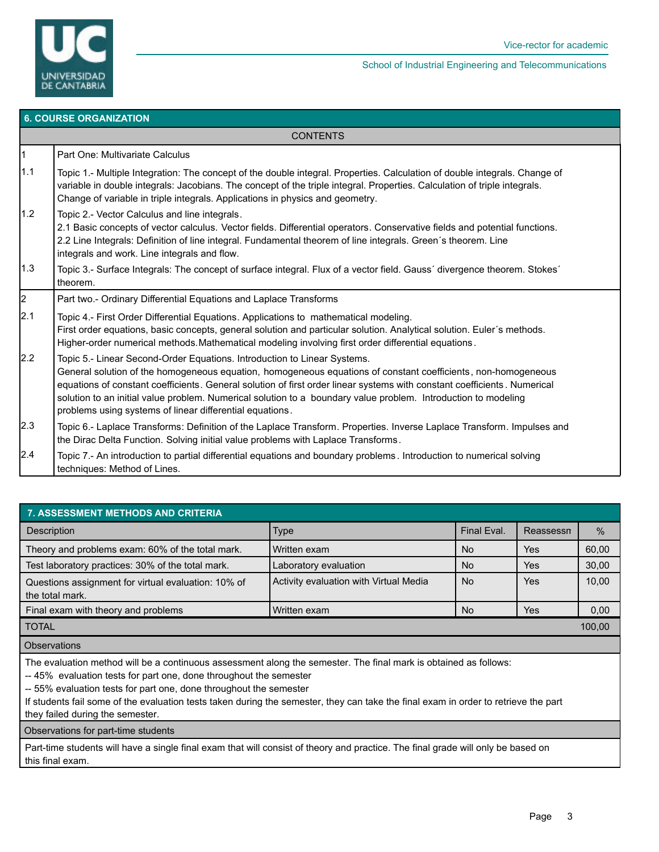

# **6. COURSE ORGANIZATION**

# **CONTENTS**

#### 1 Part One: Multivariate Calculus

- 1.1 | Topic 1.- Multiple Integration: The concept of the double integral. Properties. Calculation of double integrals. Change of variable in double integrals: Jacobians. The concept of the triple integral. Properties. Calculation of triple integrals. Change of variable in triple integrals. Applications in physics and geometry. 1.2 Topic 2.- Vector Calculus and line integrals. 2.1 Basic concepts of vector calculus. Vector fields. Differential operators. Conservative fields and potential functions. 2.2 Line Integrals: Definition of line integral. Fundamental theorem of line integrals. Green´s theorem. Line integrals and work. Line integrals and flow. 1.3 Topic 3.- Surface Integrals: The concept of surface integral. Flux of a vector field. Gauss´ divergence theorem. Stokes´ theorem. 2 Part two.- Ordinary Differential Equations and Laplace Transforms  $2.1$  | Topic 4.- First Order Differential Equations. Applications to mathematical modeling. First order equations, basic concepts, general solution and particular solution. Analytical solution. Euler´s methods. Higher-order numerical methods.Mathematical modeling involving first order differential equations . 2.2 | Topic 5.- Linear Second-Order Equations. Introduction to Linear Systems.
- General solution of the homogeneous equation, homogeneous equations of constant coefficients, non-homogeneous equations of constant coefficients. General solution of first order linear systems with constant coefficients . Numerical solution to an initial value problem. Numerical solution to a boundary value problem. Introduction to modeling problems using systems of linear differential equations.
- 2.3 | Topic 6.- Laplace Transforms: Definition of the Laplace Transform. Properties. Inverse Laplace Transform. Impulses and the Dirac Delta Function. Solving initial value problems with Laplace Transforms.
- 2.4 Topic 7.- An introduction to partial differential equations and boundary problems . Introduction to numerical solving techniques: Method of Lines.

| 7. ASSESSMENT METHODS AND CRITERIA                                     |                                        |             |           |               |  |  |  |  |
|------------------------------------------------------------------------|----------------------------------------|-------------|-----------|---------------|--|--|--|--|
| <b>Description</b>                                                     | <b>Type</b>                            | Final Eval. | Reassessn | $\frac{0}{0}$ |  |  |  |  |
| Theory and problems exam: 60% of the total mark.                       | Written exam                           | <b>No</b>   | Yes       | 60,00         |  |  |  |  |
| Test laboratory practices: 30% of the total mark.                      | Laboratory evaluation                  | <b>No</b>   | Yes       | 30,00         |  |  |  |  |
| Questions assignment for virtual evaluation: 10% of<br>the total mark. | Activity evaluation with Virtual Media | <b>No</b>   | Yes       | 10,00         |  |  |  |  |
| Final exam with theory and problems                                    | Written exam                           | <b>No</b>   | Yes       | 0,00          |  |  |  |  |
| <b>TOTAL</b>                                                           |                                        |             |           |               |  |  |  |  |

**Observations** 

The evaluation method will be a continuous assessment along the semester. The final mark is obtained as follows:

-- 45% evaluation tests for part one, done throughout the semester

-- 55% evaluation tests for part one, done throughout the semester

If students fail some of the evaluation tests taken during the semester, they can take the final exam in order to retrieve the part they failed during the semester.

Observations for part-time students

Part-time students will have a single final exam that will consist of theory and practice. The final grade will only be based on this final exam.